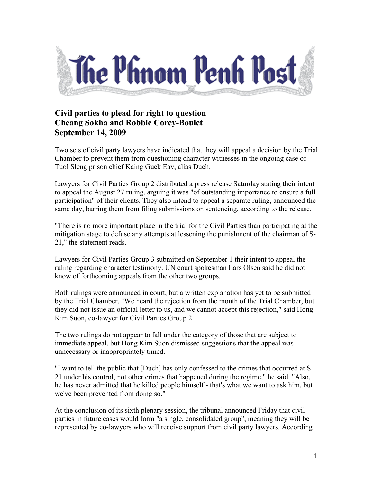

## **Civil parties to plead for right to question Cheang Sokha and Robbie Corey-Boulet September 14, 2009**

Two sets of civil party lawyers have indicated that they will appeal a decision by the Trial Chamber to prevent them from questioning character witnesses in the ongoing case of Tuol Sleng prison chief Kaing Guek Eav, alias Duch.

Lawyers for Civil Parties Group 2 distributed a press release Saturday stating their intent to appeal the August 27 ruling, arguing it was "of outstanding importance to ensure a full participation" of their clients. They also intend to appeal a separate ruling, announced the same day, barring them from filing submissions on sentencing, according to the release.

"There is no more important place in the trial for the Civil Parties than participating at the mitigation stage to defuse any attempts at lessening the punishment of the chairman of S-21," the statement reads.

Lawyers for Civil Parties Group 3 submitted on September 1 their intent to appeal the ruling regarding character testimony. UN court spokesman Lars Olsen said he did not know of forthcoming appeals from the other two groups.

Both rulings were announced in court, but a written explanation has yet to be submitted by the Trial Chamber. "We heard the rejection from the mouth of the Trial Chamber, but they did not issue an official letter to us, and we cannot accept this rejection," said Hong Kim Suon, co-lawyer for Civil Parties Group 2.

The two rulings do not appear to fall under the category of those that are subject to immediate appeal, but Hong Kim Suon dismissed suggestions that the appeal was unnecessary or inappropriately timed.

"I want to tell the public that [Duch] has only confessed to the crimes that occurred at S-21 under his control, not other crimes that happened during the regime," he said. "Also, he has never admitted that he killed people himself - that's what we want to ask him, but we've been prevented from doing so."

At the conclusion of its sixth plenary session, the tribunal announced Friday that civil parties in future cases would form "a single, consolidated group", meaning they will be represented by co-lawyers who will receive support from civil party lawyers. According